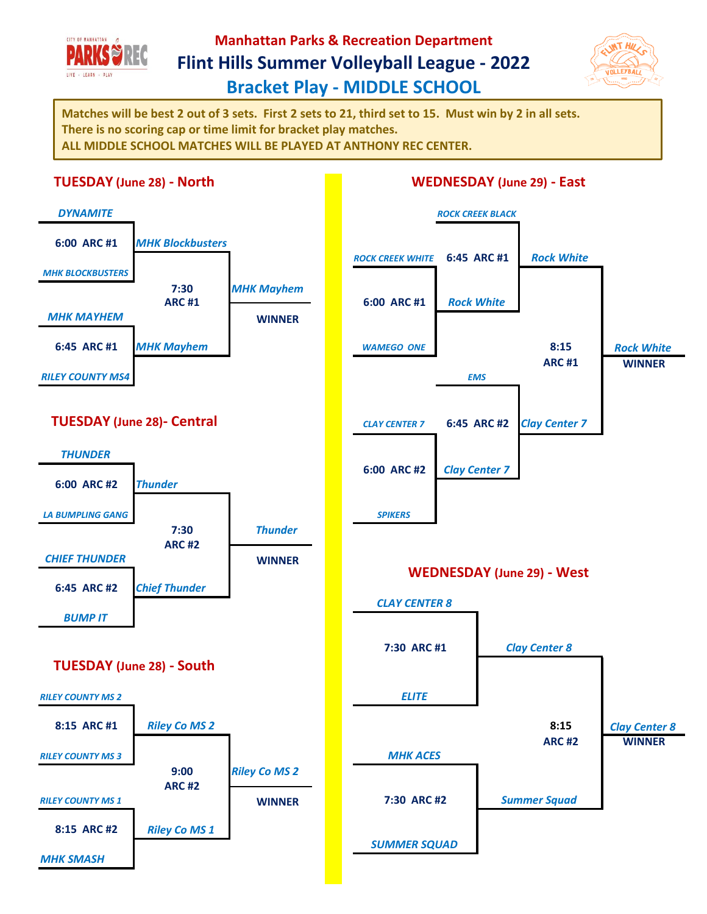

## **Manhattan Parks & Recreation Department Flint Hills Summer Volleyball League - 2022 Bracket Play - MIDDLE SCHOOL**



**Matches will be best 2 out of 3 sets. First 2 sets to 21, third set to 15. Must win by 2 in all sets. There is no scoring cap or time limit for bracket play matches. ALL MIDDLE SCHOOL MATCHES WILL BE PLAYED AT ANTHONY REC CENTER.**

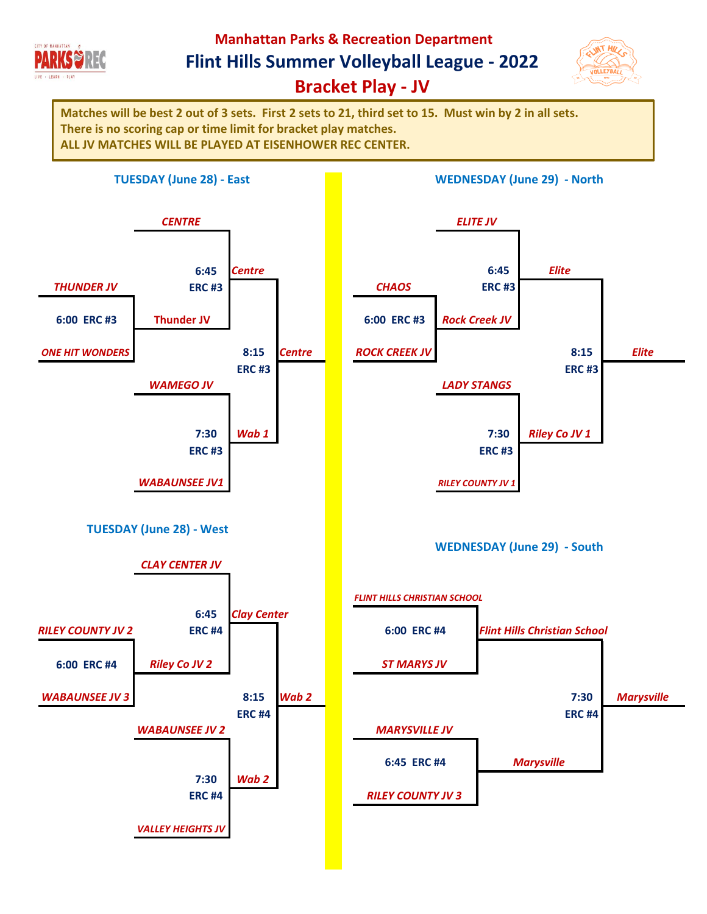

**Manhattan Parks & Recreation Department**

**Flint Hills Summer Volleyball League - 2022**



**Bracket Play - JV**

**Matches will be best 2 out of 3 sets. First 2 sets to 21, third set to 15. Must win by 2 in all sets. There is no scoring cap or time limit for bracket play matches. ALL JV MATCHES WILL BE PLAYED AT EISENHOWER REC CENTER.**